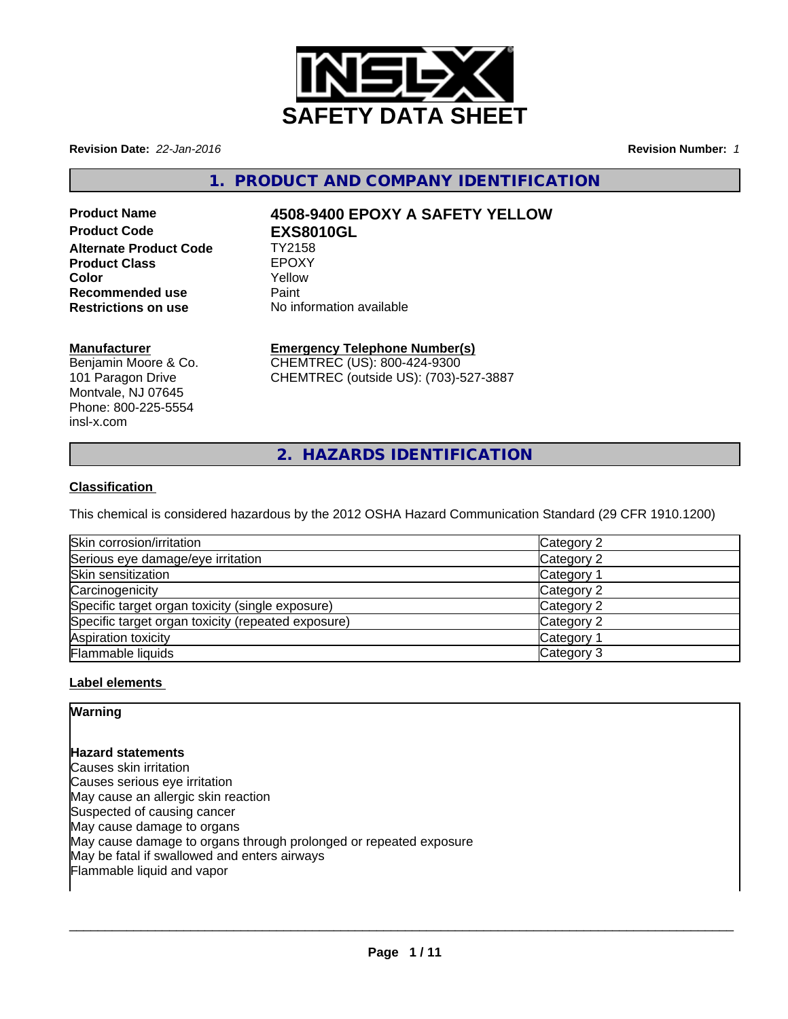

**Revision Date:** *22-Jan-2016* **Revision Number:** *1*

# **1. PRODUCT AND COMPANY IDENTIFICATION**

**Alternate Product Code TY2158**<br> **Product Class TEPOXY Product Class EPOXY**<br> **Color** Yellow **Color** Yellow **Recommended use The Paint<br>
<b>Restrictions on use** No inf

# **Product Name 4508-9400 EPOXY A SAFETY YELLOW Product Code EXS8010GL**

**Restrictions on use** No information available

# **Manufacturer**

Benjamin Moore & Co. 101 Paragon Drive Montvale, NJ 07645 Phone: 800-225-5554 insl-x.com

# **Emergency Telephone Number(s)**

CHEMTREC (US): 800-424-9300 CHEMTREC (outside US): (703)-527-3887

**2. HAZARDS IDENTIFICATION**

# **Classification**

This chemical is considered hazardous by the 2012 OSHA Hazard Communication Standard (29 CFR 1910.1200)

| Skin corrosion/irritation                          | Category 2            |
|----------------------------------------------------|-----------------------|
| Serious eye damage/eye irritation                  | Category 2            |
| Skin sensitization                                 | Category 1            |
| Carcinogenicity                                    | Category 2            |
| Specific target organ toxicity (single exposure)   | Category 2            |
| Specific target organ toxicity (repeated exposure) | Category 2            |
| Aspiration toxicity                                | Category <sup>2</sup> |
| Flammable liquids                                  | Category 3            |

# **Label elements**

# **Warning**

# **Hazard statements**

Causes skin irritation Causes serious eye irritation May cause an allergic skin reaction Suspected of causing cancer May cause damage to organs May cause damage to organs through prolonged or repeated exposure May be fatal if swallowed and enters airways Flammable liquid and vapor

 $\overline{\phantom{a}}$  ,  $\overline{\phantom{a}}$  ,  $\overline{\phantom{a}}$  ,  $\overline{\phantom{a}}$  ,  $\overline{\phantom{a}}$  ,  $\overline{\phantom{a}}$  ,  $\overline{\phantom{a}}$  ,  $\overline{\phantom{a}}$  ,  $\overline{\phantom{a}}$  ,  $\overline{\phantom{a}}$  ,  $\overline{\phantom{a}}$  ,  $\overline{\phantom{a}}$  ,  $\overline{\phantom{a}}$  ,  $\overline{\phantom{a}}$  ,  $\overline{\phantom{a}}$  ,  $\overline{\phantom{a}}$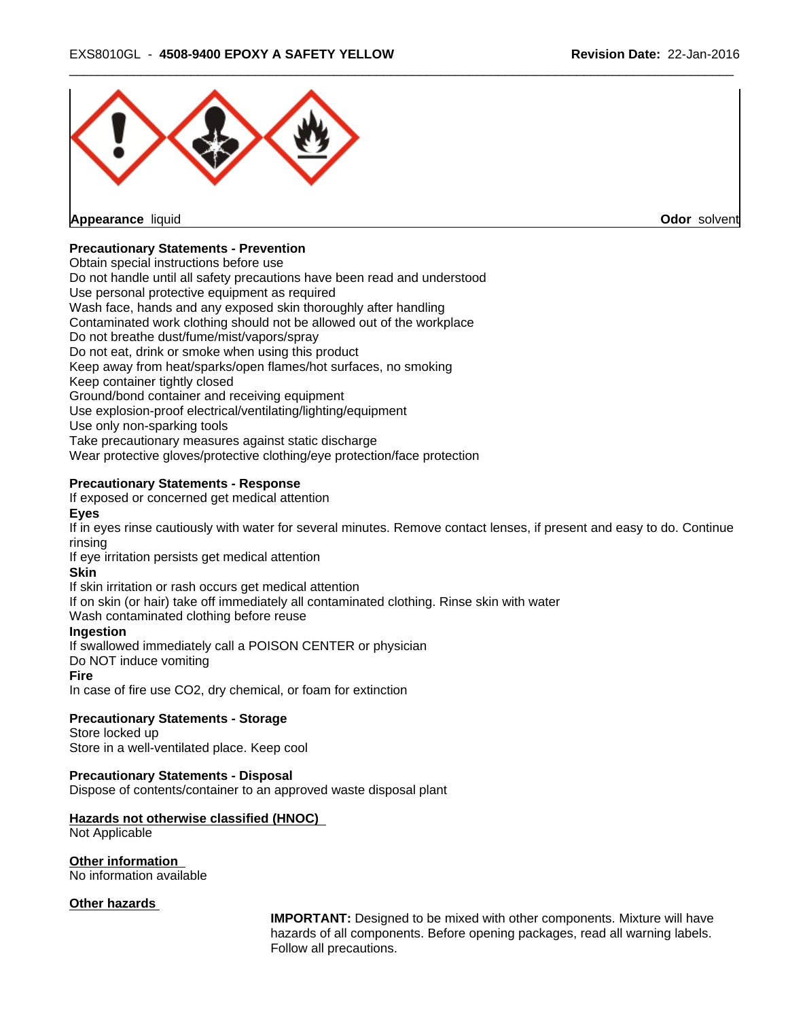

**Appearance** liquid **Odor** solvent

# **Precautionary Statements - Prevention**

Obtain special instructions before use

Do not handle until all safety precautions have been read and understood

Use personal protective equipment as required

Wash face, hands and any exposed skin thoroughly after handling

Contaminated work clothing should not be allowed out of the workplace

Do not breathe dust/fume/mist/vapors/spray

Do not eat, drink or smoke when using this product

Keep away from heat/sparks/open flames/hot surfaces, no smoking

Keep container tightly closed

Ground/bond container and receiving equipment

Use explosion-proof electrical/ventilating/lighting/equipment

Use only non-sparking tools

Take precautionary measures against static discharge

Wear protective gloves/protective clothing/eye protection/face protection

# **Precautionary Statements - Response**

If exposed or concerned get medical attention

## **Eyes**

If in eyes rinse cautiously with water for several minutes. Remove contact lenses, if present and easy to do. Continue rinsing

If eye irritation persists get medical attention

# **Skin**

If skin irritation or rash occurs get medical attention

If on skin (or hair) take off immediately all contaminated clothing. Rinse skin with water

Wash contaminated clothing before reuse

# **Ingestion**

If swallowed immediately call a POISON CENTER or physician

Do NOT induce vomiting

#### **Fire**

In case of fire use CO2, dry chemical, or foam for extinction

#### **Precautionary Statements - Storage**

Store locked up Store in a well-ventilated place. Keep cool

# **Precautionary Statements - Disposal**

Dispose of contents/container to an approved waste disposal plant

# **Hazards not otherwise classified (HNOC)**

Not Applicable

#### **Other information**

No information available

#### **Other hazards**

**IMPORTANT:** Designed to be mixed with other components. Mixture will have hazards of all components. Before opening packages, read all warning labels. Follow all precautions.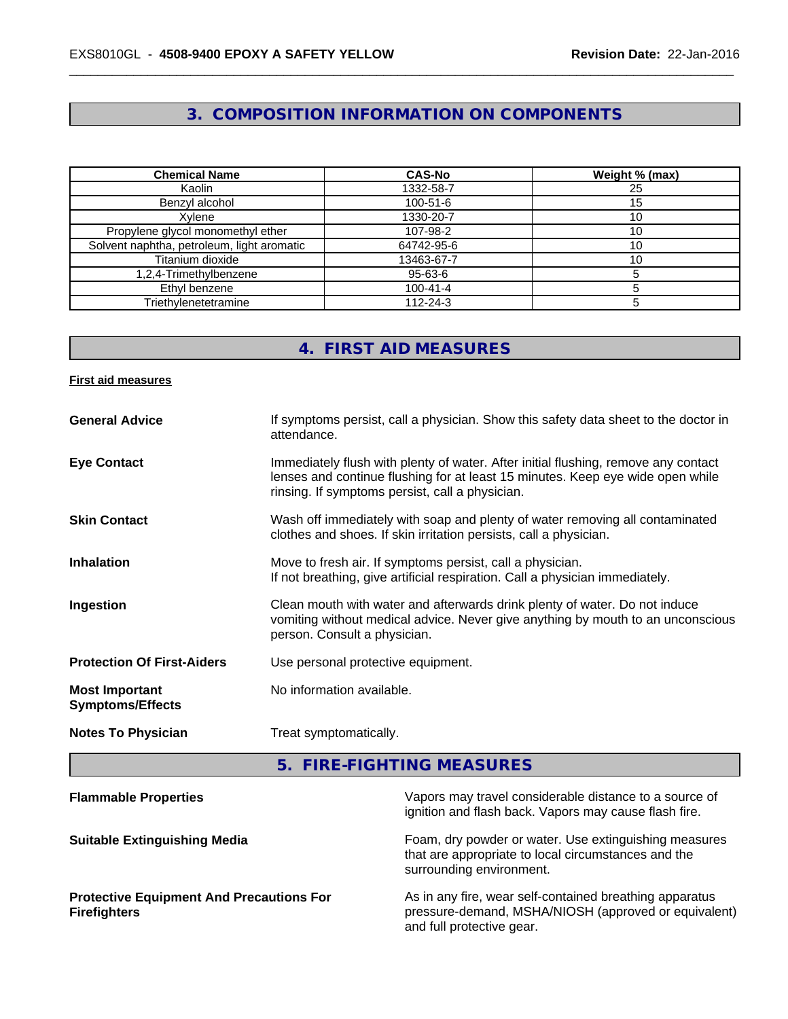# **3. COMPOSITION INFORMATION ON COMPONENTS**

| <b>Chemical Name</b>                       | <b>CAS-No</b>  | Weight % (max) |
|--------------------------------------------|----------------|----------------|
| Kaolin                                     | 1332-58-7      | 25             |
| Benzvl alcohol                             | $100 - 51 - 6$ |                |
| Xvlene                                     | 1330-20-7      |                |
| Propylene glycol monomethyl ether          | 107-98-2       |                |
| Solvent naphtha, petroleum, light aromatic | 64742-95-6     | 10             |
| Titanium dioxide                           | 13463-67-7     | 10             |
| 1,2,4-Trimethylbenzene                     | 95-63-6        |                |
| Ethyl benzene                              | $100 - 41 - 4$ |                |
| Triethylenetetramine                       | $112 - 24 - 3$ |                |

# **4. FIRST AID MEASURES**

#### **First aid measures**

| <b>General Advice</b>                            | If symptoms persist, call a physician. Show this safety data sheet to the doctor in<br>attendance.                                                                                                                      |
|--------------------------------------------------|-------------------------------------------------------------------------------------------------------------------------------------------------------------------------------------------------------------------------|
| <b>Eye Contact</b>                               | Immediately flush with plenty of water. After initial flushing, remove any contact<br>lenses and continue flushing for at least 15 minutes. Keep eye wide open while<br>rinsing. If symptoms persist, call a physician. |
| <b>Skin Contact</b>                              | Wash off immediately with soap and plenty of water removing all contaminated<br>clothes and shoes. If skin irritation persists, call a physician.                                                                       |
| <b>Inhalation</b>                                | Move to fresh air. If symptoms persist, call a physician.<br>If not breathing, give artificial respiration. Call a physician immediately.                                                                               |
| Ingestion                                        | Clean mouth with water and afterwards drink plenty of water. Do not induce<br>vomiting without medical advice. Never give anything by mouth to an unconscious<br>person. Consult a physician.                           |
| <b>Protection Of First-Aiders</b>                | Use personal protective equipment.                                                                                                                                                                                      |
| <b>Most Important</b><br><b>Symptoms/Effects</b> | No information available.                                                                                                                                                                                               |
| <b>Notes To Physician</b>                        | Treat symptomatically.                                                                                                                                                                                                  |

**5. FIRE-FIGHTING MEASURES**

| Vapors may travel considerable distance to a source of<br>ignition and flash back. Vapors may cause flash fire.                              |
|----------------------------------------------------------------------------------------------------------------------------------------------|
| Foam, dry powder or water. Use extinguishing measures<br>that are appropriate to local circumstances and the<br>surrounding environment.     |
| As in any fire, wear self-contained breathing apparatus<br>pressure-demand, MSHA/NIOSH (approved or equivalent)<br>and full protective gear. |
|                                                                                                                                              |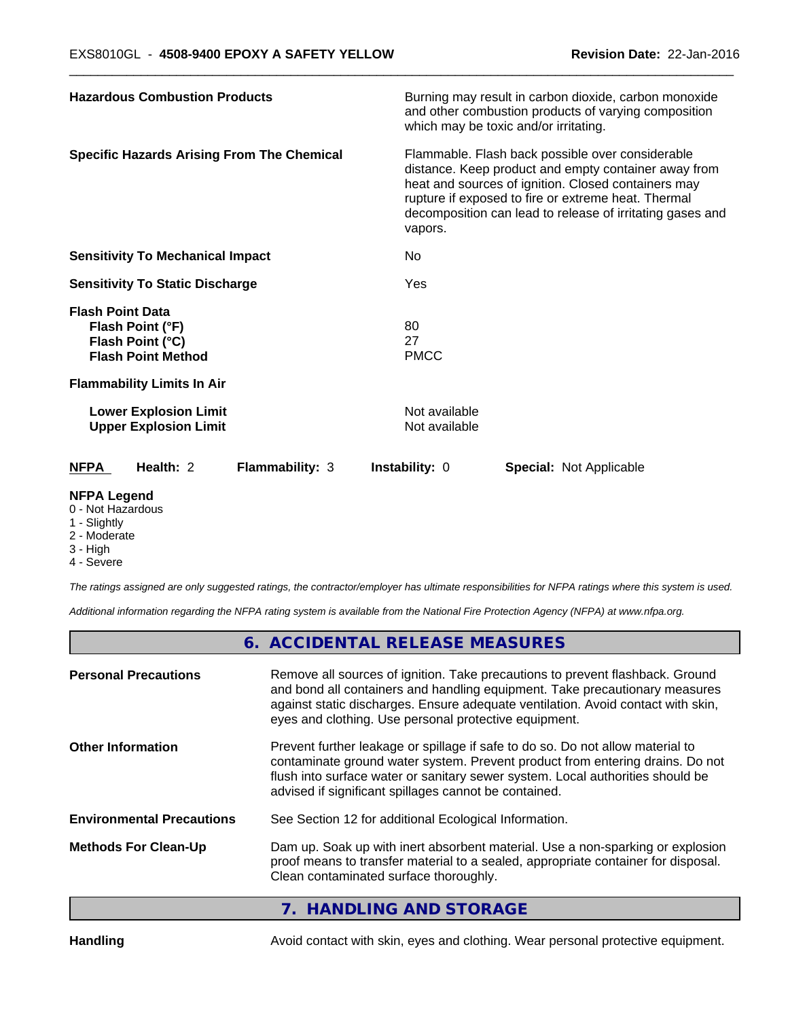| <b>Hazardous Combustion Products</b>                                                         | Burning may result in carbon dioxide, carbon monoxide<br>and other combustion products of varying composition<br>which may be toxic and/or irritating.                                                                                                                                         |  |  |  |
|----------------------------------------------------------------------------------------------|------------------------------------------------------------------------------------------------------------------------------------------------------------------------------------------------------------------------------------------------------------------------------------------------|--|--|--|
| <b>Specific Hazards Arising From The Chemical</b>                                            | Flammable. Flash back possible over considerable<br>distance. Keep product and empty container away from<br>heat and sources of ignition. Closed containers may<br>rupture if exposed to fire or extreme heat. Thermal<br>decomposition can lead to release of irritating gases and<br>vapors. |  |  |  |
| <b>Sensitivity To Mechanical Impact</b>                                                      | No.                                                                                                                                                                                                                                                                                            |  |  |  |
| <b>Sensitivity To Static Discharge</b>                                                       | Yes                                                                                                                                                                                                                                                                                            |  |  |  |
| <b>Flash Point Data</b><br>Flash Point (°F)<br>Flash Point (°C)<br><b>Flash Point Method</b> | 80<br>27<br><b>PMCC</b>                                                                                                                                                                                                                                                                        |  |  |  |
| <b>Flammability Limits In Air</b>                                                            |                                                                                                                                                                                                                                                                                                |  |  |  |
| <b>Lower Explosion Limit</b><br><b>Upper Explosion Limit</b>                                 | Not available<br>Not available                                                                                                                                                                                                                                                                 |  |  |  |
| Health: 2<br><b>NFPA</b><br><b>Flammability: 3</b>                                           | <b>Instability: 0</b><br><b>Special: Not Applicable</b>                                                                                                                                                                                                                                        |  |  |  |
| <b>NIEDA LANARA</b>                                                                          |                                                                                                                                                                                                                                                                                                |  |  |  |

#### **NFPA Legend**

- 0 Not Hazardous
- 1 Slightly
- 2 Moderate
- 3 High
- 4 Severe

*The ratings assigned are only suggested ratings, the contractor/employer has ultimate responsibilities for NFPA ratings where this system is used.*

*Additional information regarding the NFPA rating system is available from the National Fire Protection Agency (NFPA) at www.nfpa.org.*

# **6. ACCIDENTAL RELEASE MEASURES**

| <b>Personal Precautions</b>      | Remove all sources of ignition. Take precautions to prevent flashback. Ground<br>and bond all containers and handling equipment. Take precautionary measures<br>against static discharges. Ensure adequate ventilation. Avoid contact with skin,<br>eyes and clothing. Use personal protective equipment.  |  |
|----------------------------------|------------------------------------------------------------------------------------------------------------------------------------------------------------------------------------------------------------------------------------------------------------------------------------------------------------|--|
| <b>Other Information</b>         | Prevent further leakage or spillage if safe to do so. Do not allow material to<br>contaminate ground water system. Prevent product from entering drains. Do not<br>flush into surface water or sanitary sewer system. Local authorities should be<br>advised if significant spillages cannot be contained. |  |
| <b>Environmental Precautions</b> | See Section 12 for additional Ecological Information.                                                                                                                                                                                                                                                      |  |
| <b>Methods For Clean-Up</b>      | Dam up. Soak up with inert absorbent material. Use a non-sparking or explosion<br>proof means to transfer material to a sealed, appropriate container for disposal.<br>Clean contaminated surface thoroughly.                                                                                              |  |
|                                  |                                                                                                                                                                                                                                                                                                            |  |

# **7. HANDLING AND STORAGE**

Handling **Handling** Avoid contact with skin, eyes and clothing. Wear personal protective equipment.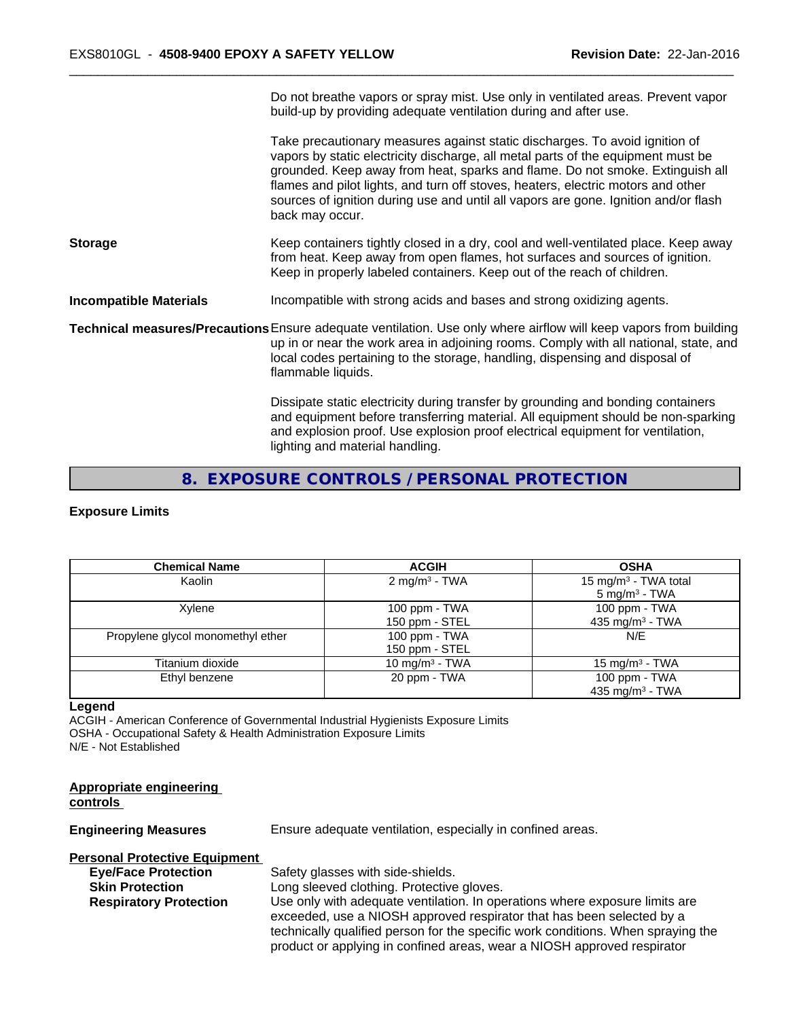|                               | Do not breathe vapors or spray mist. Use only in ventilated areas. Prevent vapor<br>build-up by providing adequate ventilation during and after use.                                                                                                                                                                                                                                                                                           |
|-------------------------------|------------------------------------------------------------------------------------------------------------------------------------------------------------------------------------------------------------------------------------------------------------------------------------------------------------------------------------------------------------------------------------------------------------------------------------------------|
|                               | Take precautionary measures against static discharges. To avoid ignition of<br>vapors by static electricity discharge, all metal parts of the equipment must be<br>grounded. Keep away from heat, sparks and flame. Do not smoke. Extinguish all<br>flames and pilot lights, and turn off stoves, heaters, electric motors and other<br>sources of ignition during use and until all vapors are gone. Ignition and/or flash<br>back may occur. |
| <b>Storage</b>                | Keep containers tightly closed in a dry, cool and well-ventilated place. Keep away<br>from heat. Keep away from open flames, hot surfaces and sources of ignition.<br>Keep in properly labeled containers. Keep out of the reach of children.                                                                                                                                                                                                  |
| <b>Incompatible Materials</b> | Incompatible with strong acids and bases and strong oxidizing agents.                                                                                                                                                                                                                                                                                                                                                                          |
|                               | Technical measures/Precautions Ensure adequate ventilation. Use only where airflow will keep vapors from building<br>up in or near the work area in adjoining rooms. Comply with all national, state, and<br>local codes pertaining to the storage, handling, dispensing and disposal of<br>flammable liquids.                                                                                                                                 |
|                               | Dissipate static electricity during transfer by grounding and bonding containers<br>and equipment before transferring material. All equipment should be non-sparking<br>and explosion proof. Use explosion proof electrical equipment for ventilation,<br>lighting and material handling.                                                                                                                                                      |
|                               |                                                                                                                                                                                                                                                                                                                                                                                                                                                |

# **8. EXPOSURE CONTROLS / PERSONAL PROTECTION**

#### **Exposure Limits**

| <b>Chemical Name</b>              | <b>ACGIH</b>               | <b>OSHA</b>                      |
|-----------------------------------|----------------------------|----------------------------------|
| Kaolin                            | $2 \text{ mg/m}^3$ - TWA   | 15 mg/m <sup>3</sup> - TWA total |
|                                   |                            | $5 \text{ mg/m}^3$ - TWA         |
| Xylene                            | 100 ppm $-$ TWA            | 100 ppm - TWA                    |
|                                   | 150 ppm - STEL             | 435 mg/m <sup>3</sup> - TWA      |
| Propylene glycol monomethyl ether | 100 ppm - TWA              | N/E                              |
|                                   | 150 ppm - STEL             |                                  |
| Titanium dioxide                  | 10 mg/m <sup>3</sup> - TWA | 15 mg/m $3$ - TWA                |
| Ethyl benzene                     | 20 ppm - TWA               | 100 ppm - TWA                    |
|                                   |                            | 435 mg/m $3$ - TWA               |

#### **Legend**

ACGIH - American Conference of Governmental Industrial Hygienists Exposure Limits OSHA - Occupational Safety & Health Administration Exposure Limits N/E - Not Established

#### **Appropriate engineering controls**

**Engineering Measures** Ensure adequate ventilation, especially in confined areas.

# **Personal Protective Equipment**

**Eye/Face Protection** Safety glasses with side-shields.

**Skin Protection** Long sleeved clothing. Protective gloves.<br> **Respiratory Protection** Use only with adequate ventilation. In ope Use only with adequate ventilation. In operations where exposure limits are exceeded, use a NIOSH approved respirator that has been selected by a technically qualified person for the specific work conditions. When spraying the product or applying in confined areas, wear a NIOSH approved respirator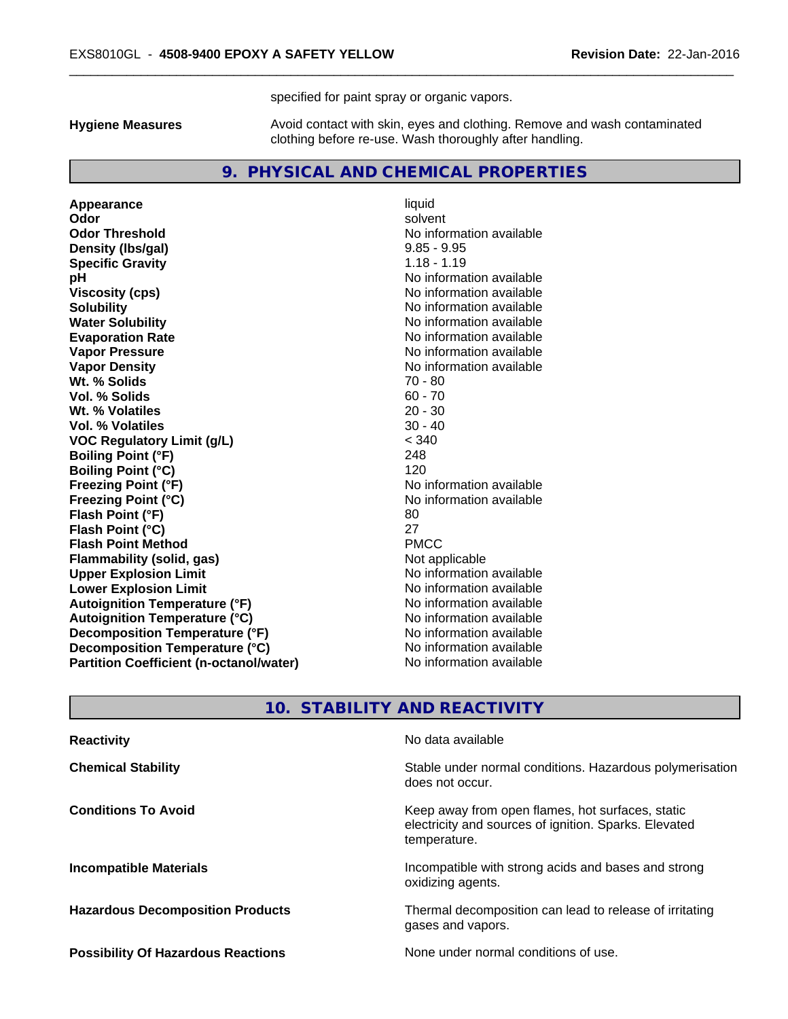specified for paint spray or organic vapors.

**Hygiene Measures** Avoid contact with skin, eyes and clothing. Remove and wash contaminated clothing before re-use. Wash thoroughly after handling.

# **9. PHYSICAL AND CHEMICAL PROPERTIES**

**Appearance** liquid **Odor** solvent **Odor Threshold** No information available **Density (lbs/gal)** 9.85 - 9.95 **Specific Gravity** 1.18 - 1.19 **pH** No information available **Viscosity (cps)** No information available **Solubility Note 2008 Note 2008 Note 2008 Note 2008 Note 2008 Note 2008 Note 2008 Note 2008 Note 2008 Note 2008 Note 2008 Note 2008 Note 2008 Note 2008 Note 2008 Note 2008 Note 2008 Note Water Solubility Water Solubility No information available Evaporation Rate No information available No information available Vapor Pressure** No information available **Vapor Density**<br> **We Solids**<br>
We Solids
2018 **Wt. % Solids** 70 - 80<br> **Vol. % Solids** 60 - 70 **Vol. % Solids** 60 - 70<br> **Wt. % Volatiles** 20 - 30 **Wt. % Volatiles** 20 - 30 **Vol. % Volatiles VOC Regulatory Limit (g/L)** < 340 **Boiling Point (°F)** 248 **Boiling Point (°C)** 120 **Freezing Point (°F)** The state of the state of the Noinformation available **Freezing Point (°C)** The state of the Monometer of Noinformation available **Flash Point (°F)** 80 **Flash Point (°C)** 27 **Flash Point Method**<br> **Flammability (solid, gas)**<br> **Example 2018** PMCC<br> **PMCC**<br>
Not applicable **Flammability** (solid, gas) **Upper Explosion Limit Contract Contract Contract Contract Contract Contract Contract Contract Contract Contract Contract Contract Contract Contract Contract Contract Contract Contract Contract Contract Contract Contract Lower Explosion Limit**<br> **Autoignition Temperature (°F)**<br> **Autoignition Temperature (°F)**<br> **Autoignition Temperature (°F) Autoignition Temperature (°F) Autoignition Temperature (°C)** No information available **Decomposition Temperature (°F)** No information available **Decomposition Temperature (°C)** No information available **Partition Coefficient (n-octanol/water)** No information available

# **10. STABILITY AND REACTIVITY**

| <b>Reactivity</b>                         | No data available                                                                                                         |
|-------------------------------------------|---------------------------------------------------------------------------------------------------------------------------|
| <b>Chemical Stability</b>                 | Stable under normal conditions. Hazardous polymerisation<br>does not occur.                                               |
| <b>Conditions To Avoid</b>                | Keep away from open flames, hot surfaces, static<br>electricity and sources of ignition. Sparks. Elevated<br>temperature. |
| <b>Incompatible Materials</b>             | Incompatible with strong acids and bases and strong<br>oxidizing agents.                                                  |
| <b>Hazardous Decomposition Products</b>   | Thermal decomposition can lead to release of irritating<br>gases and vapors.                                              |
| <b>Possibility Of Hazardous Reactions</b> | None under normal conditions of use.                                                                                      |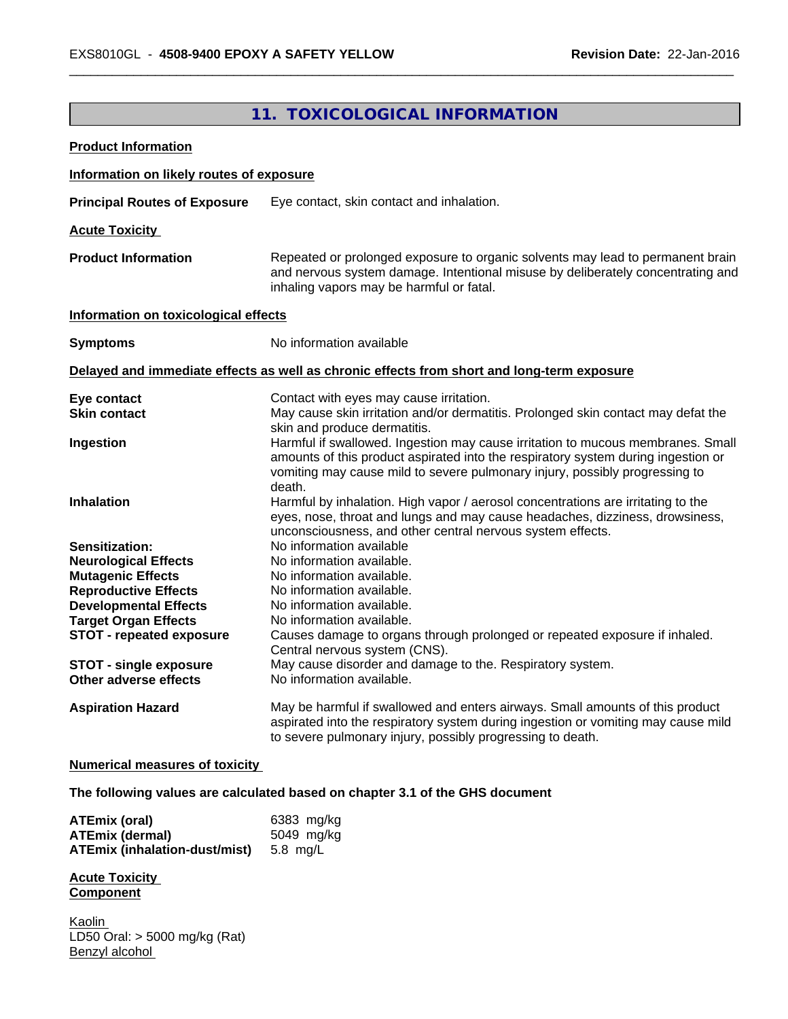# **11. TOXICOLOGICAL INFORMATION**

| <b>Product Information</b>                                  |                                                                                                                                                                                                                                                               |
|-------------------------------------------------------------|---------------------------------------------------------------------------------------------------------------------------------------------------------------------------------------------------------------------------------------------------------------|
| Information on likely routes of exposure                    |                                                                                                                                                                                                                                                               |
| <b>Principal Routes of Exposure</b>                         | Eye contact, skin contact and inhalation.                                                                                                                                                                                                                     |
| <b>Acute Toxicity</b>                                       |                                                                                                                                                                                                                                                               |
| <b>Product Information</b>                                  | Repeated or prolonged exposure to organic solvents may lead to permanent brain<br>and nervous system damage. Intentional misuse by deliberately concentrating and<br>inhaling vapors may be harmful or fatal.                                                 |
| Information on toxicological effects                        |                                                                                                                                                                                                                                                               |
| <b>Symptoms</b>                                             | No information available                                                                                                                                                                                                                                      |
|                                                             | Delayed and immediate effects as well as chronic effects from short and long-term exposure                                                                                                                                                                    |
| Eye contact                                                 | Contact with eyes may cause irritation.                                                                                                                                                                                                                       |
| <b>Skin contact</b>                                         | May cause skin irritation and/or dermatitis. Prolonged skin contact may defat the<br>skin and produce dermatitis.                                                                                                                                             |
| Ingestion                                                   | Harmful if swallowed. Ingestion may cause irritation to mucous membranes. Small<br>amounts of this product aspirated into the respiratory system during ingestion or<br>vomiting may cause mild to severe pulmonary injury, possibly progressing to<br>death. |
| <b>Inhalation</b>                                           | Harmful by inhalation. High vapor / aerosol concentrations are irritating to the<br>eyes, nose, throat and lungs and may cause headaches, dizziness, drowsiness,<br>unconsciousness, and other central nervous system effects.                                |
| <b>Sensitization:</b>                                       | No information available                                                                                                                                                                                                                                      |
| <b>Neurological Effects</b>                                 | No information available.                                                                                                                                                                                                                                     |
| <b>Mutagenic Effects</b>                                    | No information available.                                                                                                                                                                                                                                     |
| <b>Reproductive Effects</b><br><b>Developmental Effects</b> | No information available.<br>No information available.                                                                                                                                                                                                        |
| <b>Target Organ Effects</b>                                 | No information available.                                                                                                                                                                                                                                     |
| <b>STOT - repeated exposure</b>                             | Causes damage to organs through prolonged or repeated exposure if inhaled.                                                                                                                                                                                    |
|                                                             | Central nervous system (CNS).                                                                                                                                                                                                                                 |
| <b>STOT - single exposure</b>                               | May cause disorder and damage to the. Respiratory system.                                                                                                                                                                                                     |
| Other adverse effects                                       | No information available.                                                                                                                                                                                                                                     |
| <b>Aspiration Hazard</b>                                    | May be harmful if swallowed and enters airways. Small amounts of this product<br>aspirated into the respiratory system during ingestion or vomiting may cause mild<br>to severe pulmonary injury, possibly progressing to death.                              |

## **Numerical measures of toxicity**

**The following values are calculated based on chapter 3.1 of the GHS document**

| ATEmix (oral)                        | 6383 mg/kg |
|--------------------------------------|------------|
| <b>ATEmix (dermal)</b>               | 5049 mg/ka |
| <b>ATEmix (inhalation-dust/mist)</b> | 5.8 ma/L   |

**Acute Toxicity Component**

Kaolin LD50 Oral: > 5000 mg/kg (Rat) Benzyl alcohol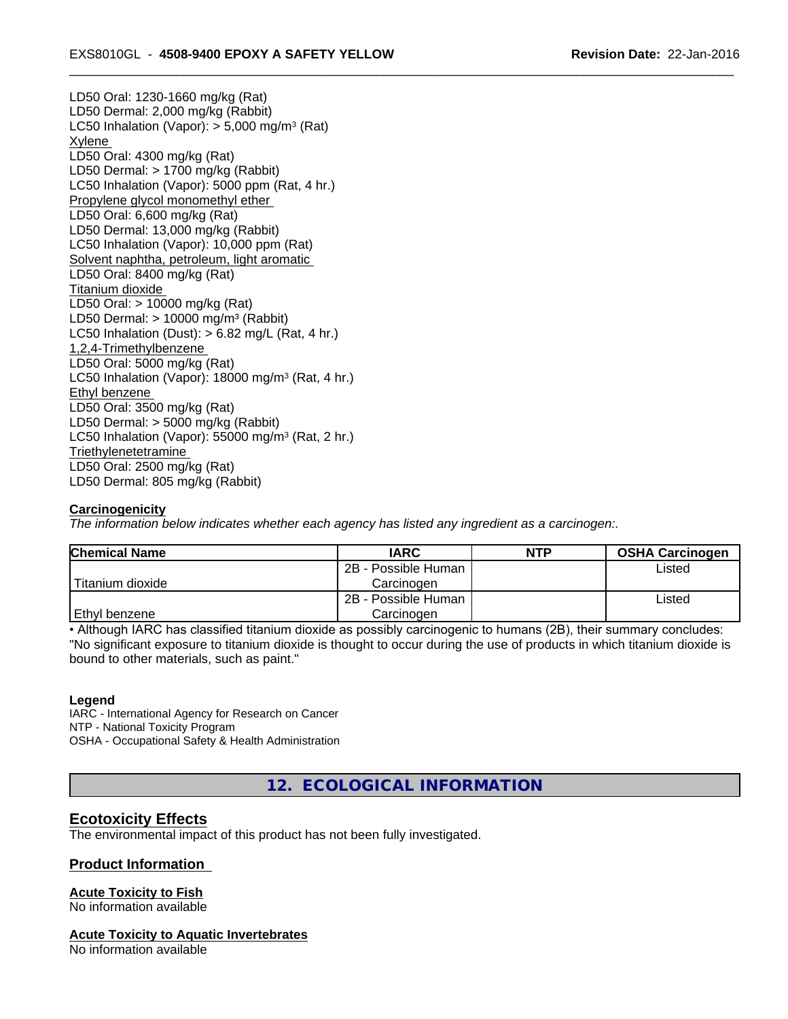LD50 Oral: 1230-1660 mg/kg (Rat) LD50 Dermal: 2,000 mg/kg (Rabbit) LC50 Inhalation (Vapor): > 5,000 mg/m<sup>3</sup> (Rat) Xylene LD50 Oral: 4300 mg/kg (Rat) LD50 Dermal: > 1700 mg/kg (Rabbit) LC50 Inhalation (Vapor): 5000 ppm (Rat, 4 hr.) Propylene glycol monomethyl ether LD50 Oral: 6,600 mg/kg (Rat) LD50 Dermal: 13,000 mg/kg (Rabbit) LC50 Inhalation (Vapor): 10,000 ppm (Rat) Solvent naphtha, petroleum, light aromatic LD50 Oral: 8400 mg/kg (Rat) Titanium dioxide LD50 Oral: > 10000 mg/kg (Rat) LD50 Dermal:  $> 10000$  mg/m<sup>3</sup> (Rabbit) LC50 Inhalation (Dust):  $> 6.82$  mg/L (Rat, 4 hr.) 1,2,4-Trimethylbenzene LD50 Oral: 5000 mg/kg (Rat) LC50 Inhalation (Vapor): 18000 mg/m<sup>3</sup> (Rat, 4 hr.) Ethyl benzene LD50 Oral: 3500 mg/kg (Rat) LD50 Dermal: > 5000 mg/kg (Rabbit) LC50 Inhalation (Vapor): 55000 mg/m<sup>3</sup> (Rat, 2 hr.) **Triethylenetetramine** LD50 Oral: 2500 mg/kg (Rat) LD50 Dermal: 805 mg/kg (Rabbit)

# **Carcinogenicity**

*The information below indicateswhether each agency has listed any ingredient as a carcinogen:.*

| <b>Chemical Name</b> | <b>IARC</b>         | <b>NTP</b> | <b>OSHA Carcinogen</b> |
|----------------------|---------------------|------------|------------------------|
|                      | 2B - Possible Human |            | Listed                 |
| Titanium dioxide     | Carcinoɑen          |            |                        |
|                      | 2B - Possible Human |            | Listed                 |
| <b>Ethyl benzene</b> | Carcinogen          |            |                        |

• Although IARC has classified titanium dioxide as possibly carcinogenic to humans (2B), their summary concludes: "No significant exposure to titanium dioxide is thought to occur during the use of products in which titanium dioxide is bound to other materials, such as paint."

#### **Legend**

IARC - International Agency for Research on Cancer NTP - National Toxicity Program OSHA - Occupational Safety & Health Administration

**12. ECOLOGICAL INFORMATION**

# **Ecotoxicity Effects**

The environmental impact of this product has not been fully investigated.

#### **Product Information**

#### **Acute Toxicity to Fish**

No information available

#### **Acute Toxicity to Aquatic Invertebrates**

No information available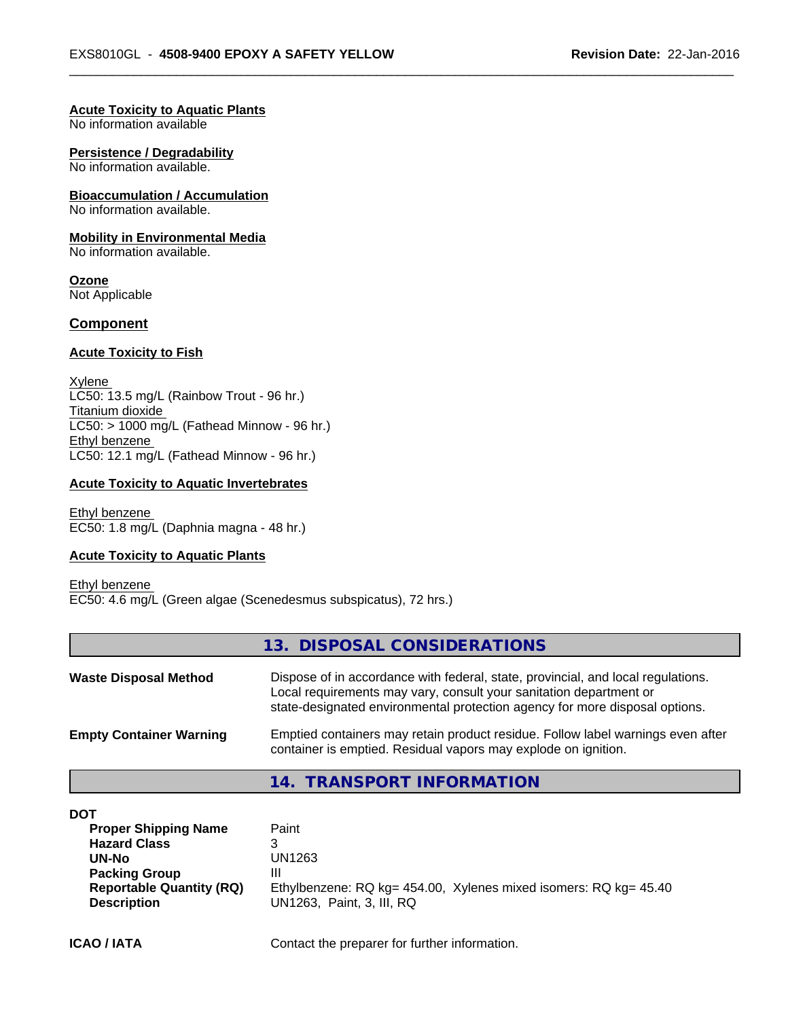#### **Acute Toxicity to Aquatic Plants**

No information available

#### **Persistence / Degradability**

No information available.

#### **Bioaccumulation / Accumulation**

No information available.

#### **Mobility in Environmental Media**

No information available.

**Ozone** Not Applicable

#### **Component**

#### **Acute Toxicity to Fish**

Xylene LC50: 13.5 mg/L (Rainbow Trout - 96 hr.) Titanium dioxide  $LC50:$  > 1000 mg/L (Fathead Minnow - 96 hr.) Ethyl benzene LC50: 12.1 mg/L (Fathead Minnow - 96 hr.)

#### **Acute Toxicity to Aquatic Invertebrates**

Ethyl benzene EC50: 1.8 mg/L (Daphnia magna - 48 hr.)

# **Acute Toxicity to Aquatic Plants**

Ethyl benzene EC50: 4.6 mg/L (Green algae (Scenedesmus subspicatus), 72 hrs.)

#### **13. DISPOSAL CONSIDERATIONS**

| <b>Waste Disposal Method</b>   | Dispose of in accordance with federal, state, provincial, and local regulations.<br>Local requirements may vary, consult your sanitation department or<br>state-designated environmental protection agency for more disposal options. |  |
|--------------------------------|---------------------------------------------------------------------------------------------------------------------------------------------------------------------------------------------------------------------------------------|--|
| <b>Empty Container Warning</b> | Emptied containers may retain product residue. Follow label warnings even after<br>container is emptied. Residual vapors may explode on ignition.                                                                                     |  |

## **14. TRANSPORT INFORMATION**

| DOT                             |                                                                  |
|---------------------------------|------------------------------------------------------------------|
| <b>Proper Shipping Name</b>     | Paint                                                            |
| <b>Hazard Class</b>             | ิว<br>J                                                          |
| UN-No                           | UN1263                                                           |
| <b>Packing Group</b>            | Ш                                                                |
| <b>Reportable Quantity (RQ)</b> | Ethylbenzene: RQ kg= 454.00, Xylenes mixed isomers: RQ kg= 45.40 |
| <b>Description</b>              | UN1263. Paint. 3. III. RQ                                        |
|                                 |                                                                  |

**ICAO / IATA** Contact the preparer for further information.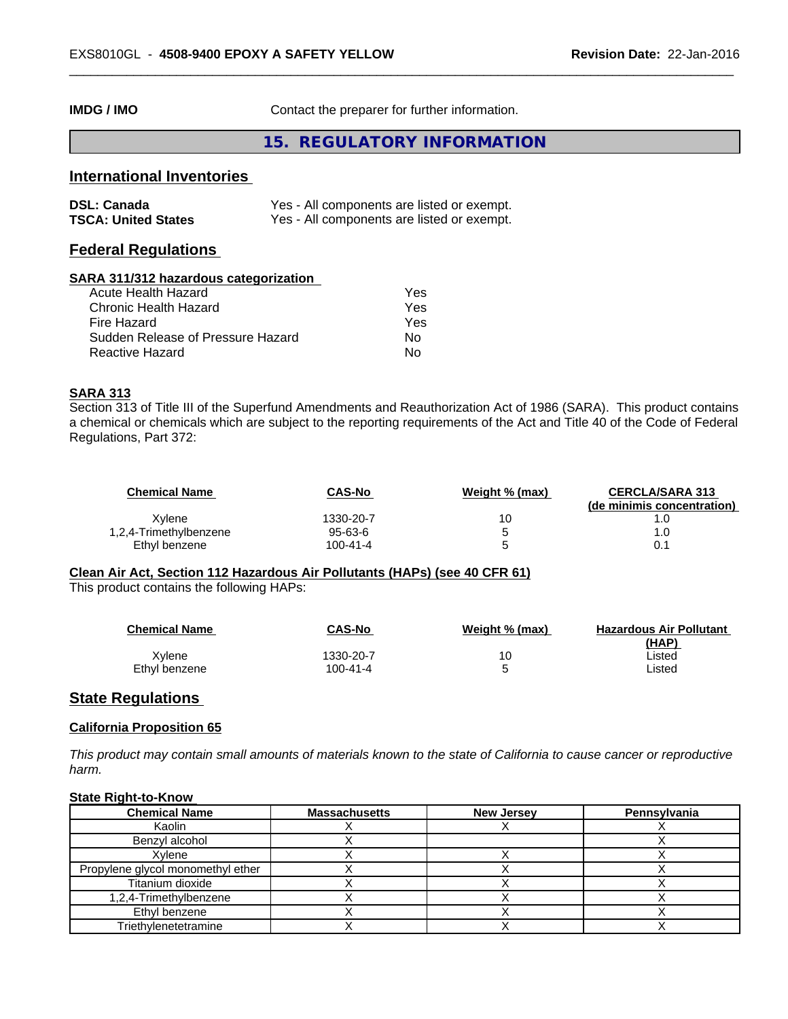**IMDG / IMO** Contact the preparer for further information.

**15. REGULATORY INFORMATION**

# **International Inventories**

| <b>DSL: Canada</b>         | Yes - All components are listed or exempt. |
|----------------------------|--------------------------------------------|
| <b>TSCA: United States</b> | Yes - All components are listed or exempt. |

# **Federal Regulations**

#### **SARA 311/312 hazardous categorization**

| Acute Health Hazard               | Yes |
|-----------------------------------|-----|
| Chronic Health Hazard             | Yes |
| Fire Hazard                       | Yes |
| Sudden Release of Pressure Hazard | Nο  |
| Reactive Hazard                   | N٥  |

#### **SARA 313**

Section 313 of Title III of the Superfund Amendments and Reauthorization Act of 1986 (SARA). This product contains a chemical or chemicals which are subject to the reporting requirements of the Act and Title 40 of the Code of Federal Regulations, Part 372:

| Chemical Name          | CAS-No        | Weight % (max) | <b>CERCLA/SARA 313</b><br>(de minimis concentration) |
|------------------------|---------------|----------------|------------------------------------------------------|
| Xvlene                 | 1330-20-7     | 10             |                                                      |
| 1,2,4-Trimethylbenzene | $95 - 63 - 6$ |                | 1.0                                                  |
| Ethyl benzene          | 100-41-4      |                | 0.1                                                  |

# **Clean Air Act,Section 112 Hazardous Air Pollutants (HAPs) (see 40 CFR 61)**

This product contains the following HAPs:

| <b>Chemical Name</b> | CAS-No    | Weight % (max) | <b>Hazardous Air Pollutant</b><br>(HAP) |
|----------------------|-----------|----------------|-----------------------------------------|
| Xvlene               | 1330-20-7 |                | ∟isted                                  |
| Ethyl benzene        | 100-41-4  |                | ∟isted                                  |

#### **State Regulations**

#### **California Proposition 65**

This product may contain small amounts of materials known to the state of California to cause cancer or reproductive *harm.*

#### **State Right-to-Know**

| <b>Chemical Name</b>              | <b>Massachusetts</b> | <b>New Jersey</b> | Pennsylvania |
|-----------------------------------|----------------------|-------------------|--------------|
| Kaolin                            |                      |                   |              |
| Benzvl alcohol                    |                      |                   |              |
| Xvlene                            |                      |                   |              |
| Propylene glycol monomethyl ether |                      |                   |              |
| Titanium dioxide                  |                      |                   |              |
| 1,2,4-Trimethylbenzene            |                      |                   |              |
| Ethyl benzene                     |                      |                   |              |
| Triethylenetetramine              |                      |                   |              |